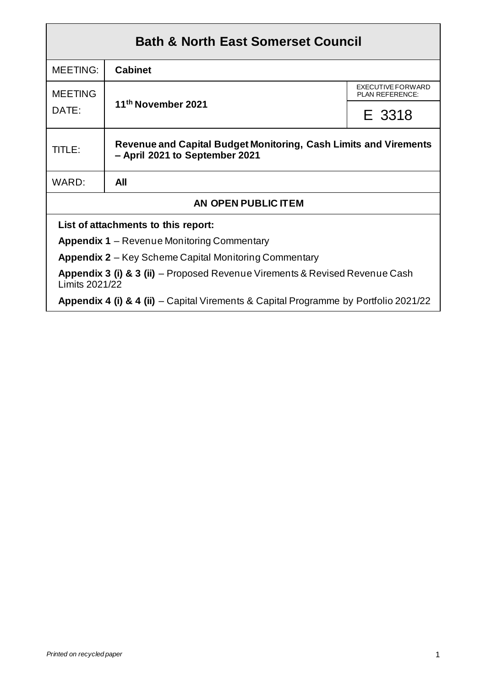| <b>Bath &amp; North East Somerset Council</b>                                                 |                                                                                                           |                                             |  |  |  |
|-----------------------------------------------------------------------------------------------|-----------------------------------------------------------------------------------------------------------|---------------------------------------------|--|--|--|
| <b>MEETING:</b>                                                                               | <b>Cabinet</b>                                                                                            |                                             |  |  |  |
| <b>MEETING</b>                                                                                |                                                                                                           | <b>EXECUTIVE FORWARD</b><br>PLAN REFERENCE: |  |  |  |
| DATE:                                                                                         | 11th November 2021<br>E 3318                                                                              |                                             |  |  |  |
| TITLE:                                                                                        | <b>Revenue and Capital Budget Monitoring, Cash Limits and Virements</b><br>- April 2021 to September 2021 |                                             |  |  |  |
| WARD:                                                                                         | All                                                                                                       |                                             |  |  |  |
| AN OPEN PUBLIC ITEM                                                                           |                                                                                                           |                                             |  |  |  |
| List of attachments to this report:                                                           |                                                                                                           |                                             |  |  |  |
| <b>Appendix 1</b> – Revenue Monitoring Commentary                                             |                                                                                                           |                                             |  |  |  |
| <b>Appendix 2</b> – Key Scheme Capital Monitoring Commentary                                  |                                                                                                           |                                             |  |  |  |
| Appendix 3 (i) & 3 (ii) – Proposed Revenue Virements & Revised Revenue Cash<br>Limits 2021/22 |                                                                                                           |                                             |  |  |  |
| Appendix 4 (i) & 4 (ii) – Capital Virements & Capital Programme by Portfolio 2021/22          |                                                                                                           |                                             |  |  |  |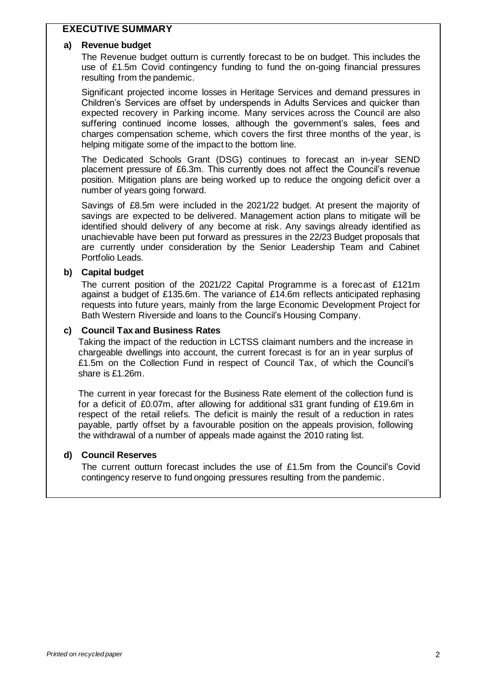### **EXECUTIVE SUMMARY**

#### **a) Revenue budget**

The Revenue budget outturn is currently forecast to be on budget. This includes the use of £1.5m Covid contingency funding to fund the on-going financial pressures resulting from the pandemic.

Significant projected income losses in Heritage Services and demand pressures in Children's Services are offset by underspends in Adults Services and quicker than expected recovery in Parking income. Many services across the Council are also suffering continued income losses, although the government's sales, fees and charges compensation scheme, which covers the first three months of the year, is helping mitigate some of the impact to the bottom line.

The Dedicated Schools Grant (DSG) continues to forecast an in-year SEND placement pressure of £6.3m. This currently does not affect the Council's revenue position. Mitigation plans are being worked up to reduce the ongoing deficit over a number of years going forward.

Savings of £8.5m were included in the 2021/22 budget. At present the majority of savings are expected to be delivered. Management action plans to mitigate will be identified should delivery of any become at risk. Any savings already identified as unachievable have been put forward as pressures in the 22/23 Budget proposals that are currently under consideration by the Senior Leadership Team and Cabinet Portfolio Leads.

#### **b) Capital budget**

The current position of the 2021/22 Capital Programme is a forecast of £121m against a budget of £135.6m. The variance of £14.6m reflects anticipated rephasing requests into future years, mainly from the large Economic Development Project for Bath Western Riverside and loans to the Council's Housing Company.

#### **c) Council Tax and Business Rates**

Taking the impact of the reduction in LCTSS claimant numbers and the increase in chargeable dwellings into account, the current forecast is for an in year surplus of £1.5m on the Collection Fund in respect of Council Tax, of which the Council's share is £1.26m.

The current in year forecast for the Business Rate element of the collection fund is for a deficit of £0.07m, after allowing for additional s31 grant funding of £19.6m in respect of the retail reliefs. The deficit is mainly the result of a reduction in rates payable, partly offset by a favourable position on the appeals provision, following the withdrawal of a number of appeals made against the 2010 rating list.

#### **d) Council Reserves**

The current outturn forecast includes the use of £1.5m from the Council's Covid contingency reserve to fund ongoing pressures resulting from the pandemic.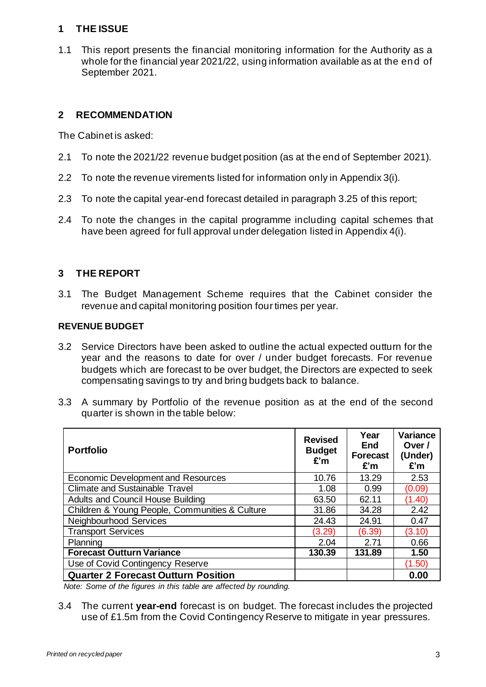# **1 THE ISSUE**

1.1 This report presents the financial monitoring information for the Authority as a whole for the financial year 2021/22, using information available as at the end of September 2021.

# **2 RECOMMENDATION**

The Cabinet is asked:

- 2.1 To note the 2021/22 revenue budget position (as at the end of September 2021).
- 2.2 To note the revenue virements listed for information only in Appendix 3(i).
- 2.3 To note the capital year-end forecast detailed in paragraph 3.25 of this report;
- 2.4 To note the changes in the capital programme including capital schemes that have been agreed for full approval under delegation listed in Appendix 4(i).

# **3 THE REPORT**

3.1 The Budget Management Scheme requires that the Cabinet consider the revenue and capital monitoring position four times per year.

### **REVENUE BUDGET**

- 3.2 Service Directors have been asked to outline the actual expected outturn for the year and the reasons to date for over / under budget forecasts. For revenue budgets which are forecast to be over budget, the Directors are expected to seek compensating savings to try and bring budgets back to balance.
- 3.3 A summary by Portfolio of the revenue position as at the end of the second quarter is shown in the table below:

| <b>Portfolio</b>                               | <b>Revised</b><br><b>Budget</b><br>E'm | Year<br>End<br><b>Forecast</b><br>£'m | Variance<br>Over /<br>(Under)<br>£'m |
|------------------------------------------------|----------------------------------------|---------------------------------------|--------------------------------------|
| <b>Economic Development and Resources</b>      | 10.76                                  | 13.29                                 | 2.53                                 |
| <b>Climate and Sustainable Travel</b>          | 1.08                                   | 0.99                                  | (0.09)                               |
| Adults and Council House Building              | 63.50                                  | 62.11                                 | (1.40)                               |
| Children & Young People, Communities & Culture | 31.86                                  | 34.28                                 | 2.42                                 |
| Neighbourhood Services                         | 24.43                                  | 24.91                                 | 0.47                                 |
| <b>Transport Services</b>                      | (3.29)                                 | (6.39)                                | (3.10)                               |
| Planning                                       | 2.04                                   | 2.71                                  | 0.66                                 |
| <b>Forecast Outturn Variance</b>               | 130.39                                 | 131.89                                | 1.50                                 |
| Use of Covid Contingency Reserve               |                                        |                                       | (1.50)                               |
| <b>Quarter 2 Forecast Outturn Position</b>     |                                        |                                       | 0.00                                 |

*Note: Some of the figures in this table are affected by rounding.*

3.4 The current **year-end** forecast is on budget. The forecast includes the projected use of £1.5m from the Covid Contingency Reserve to mitigate in year pressures.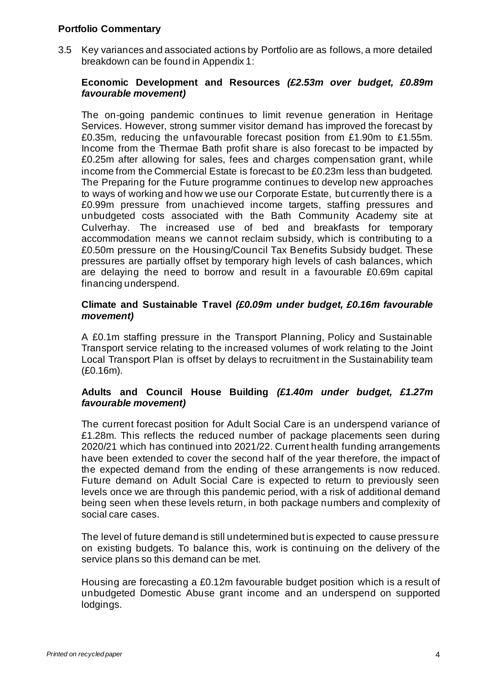#### **Portfolio Commentary**

3.5 Key variances and associated actions by Portfolio are as follows, a more detailed breakdown can be found in Appendix 1:

#### **Economic Development and Resources** *(£2.53m over budget, £0.89m favourable movement)*

The on-going pandemic continues to limit revenue generation in Heritage Services. However, strong summer visitor demand has improved the forecast by £0.35m, reducing the unfavourable forecast position from £1.90m to £1.55m. Income from the Thermae Bath profit share is also forecast to be impacted by £0.25m after allowing for sales, fees and charges compensation grant, while income from the Commercial Estate is forecast to be £0.23m less than budgeted. The Preparing for the Future programme continues to develop new approaches to ways of working and how we use our Corporate Estate, but currently there is a £0.99m pressure from unachieved income targets, staffing pressures and unbudgeted costs associated with the Bath Community Academy site at Culverhay. The increased use of bed and breakfasts for temporary accommodation means we cannot reclaim subsidy, which is contributing to a £0.50m pressure on the Housing/Council Tax Benefits Subsidy budget. These pressures are partially offset by temporary high levels of cash balances, which are delaying the need to borrow and result in a favourable £0.69m capital financing underspend.

#### **Climate and Sustainable Travel** *(£0.09m under budget, £0.16m favourable movement)*

A £0.1m staffing pressure in the Transport Planning, Policy and Sustainable Transport service relating to the increased volumes of work relating to the Joint Local Transport Plan is offset by delays to recruitment in the Sustainability team (£0.16m).

### **Adults and Council House Building** *(£1.40m under budget, £1.27m favourable movement)*

The current forecast position for Adult Social Care is an underspend variance of £1.28m. This reflects the reduced number of package placements seen during 2020/21 which has continued into 2021/22. Current health funding arrangements have been extended to cover the second half of the year therefore, the impact of the expected demand from the ending of these arrangements is now reduced. Future demand on Adult Social Care is expected to return to previously seen levels once we are through this pandemic period, with a risk of additional demand being seen when these levels return, in both package numbers and complexity of social care cases.

The level of future demand is still undetermined but is expected to cause pressure on existing budgets. To balance this, work is continuing on the delivery of the service plans so this demand can be met.

Housing are forecasting a £0.12m favourable budget position which is a result of unbudgeted Domestic Abuse grant income and an underspend on supported lodgings.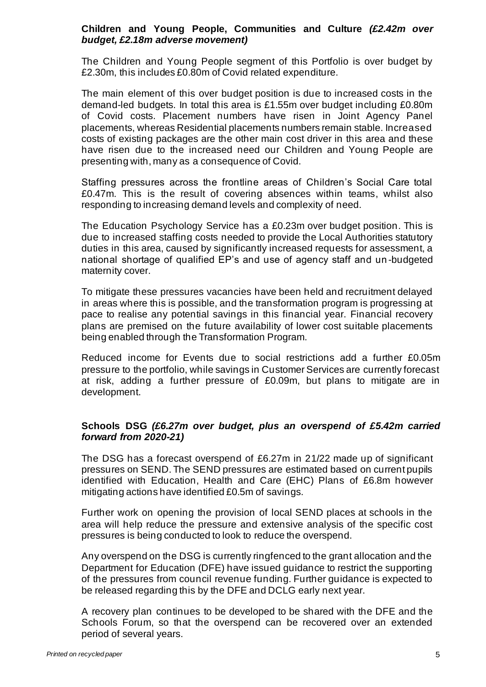#### **Children and Young People, Communities and Culture** *(£2.42m over budget, £2.18m adverse movement)*

The Children and Young People segment of this Portfolio is over budget by £2.30m, this includes £0.80m of Covid related expenditure.

The main element of this over budget position is due to increased costs in the demand-led budgets. In total this area is £1.55m over budget including £0.80m of Covid costs. Placement numbers have risen in Joint Agency Panel placements, whereas Residential placements numbers remain stable. Increased costs of existing packages are the other main cost driver in this area and these have risen due to the increased need our Children and Young People are presenting with, many as a consequence of Covid.

Staffing pressures across the frontline areas of Children's Social Care total £0.47m. This is the result of covering absences within teams, whilst also responding to increasing demand levels and complexity of need.

The Education Psychology Service has a £0.23m over budget position. This is due to increased staffing costs needed to provide the Local Authorities statutory duties in this area, caused by significantly increased requests for assessment, a national shortage of qualified EP's and use of agency staff and un -budgeted maternity cover.

To mitigate these pressures vacancies have been held and recruitment delayed in areas where this is possible, and the transformation program is progressing at pace to realise any potential savings in this financial year. Financial recovery plans are premised on the future availability of lower cost suitable placements being enabled through the Transformation Program.

Reduced income for Events due to social restrictions add a further £0.05m pressure to the portfolio, while savings in Customer Services are currently forecast at risk, adding a further pressure of £0.09m, but plans to mitigate are in development.

### **Schools DSG** *(£6.27m over budget, plus an overspend of £5.42m carried forward from 2020-21)*

The DSG has a forecast overspend of £6.27m in 21/22 made up of significant pressures on SEND. The SEND pressures are estimated based on current pupils identified with Education, Health and Care (EHC) Plans of £6.8m however mitigating actions have identified £0.5m of savings.

Further work on opening the provision of local SEND places at schools in the area will help reduce the pressure and extensive analysis of the specific cost pressures is being conducted to look to reduce the overspend.

Any overspend on the DSG is currently ringfenced to the grant allocation and the Department for Education (DFE) have issued guidance to restrict the supporting of the pressures from council revenue funding. Further guidance is expected to be released regarding this by the DFE and DCLG early next year.

A recovery plan continues to be developed to be shared with the DFE and the Schools Forum, so that the overspend can be recovered over an extended period of several years.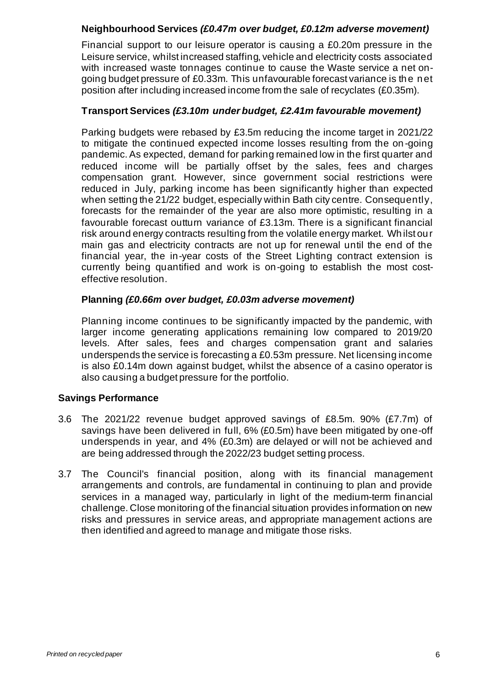### **Neighbourhood Services** *(£0.47m over budget, £0.12m adverse movement)*

Financial support to our leisure operator is causing a £0.20m pressure in the Leisure service, whilst increased staffing, vehicle and electricity costs associated with increased waste tonnages continue to cause the Waste service a net ongoing budget pressure of £0.33m. This unfavourable forecast variance is the net position after including increased income from the sale of recyclates (£0.35m).

## **Transport Services** *(£3.10m under budget, £2.41m favourable movement)*

Parking budgets were rebased by £3.5m reducing the income target in 2021/22 to mitigate the continued expected income losses resulting from the on -going pandemic. As expected, demand for parking remained low in the first quarter and reduced income will be partially offset by the sales, fees and charges compensation grant. However, since government social restrictions were reduced in July, parking income has been significantly higher than expected when setting the 21/22 budget, especially within Bath city centre. Consequently, forecasts for the remainder of the year are also more optimistic, resulting in a favourable forecast outturn variance of £3.13m. There is a significant financial risk around energy contracts resulting from the volatile energy market. Whilst our main gas and electricity contracts are not up for renewal until the end of the financial year, the in-year costs of the Street Lighting contract extension is currently being quantified and work is on-going to establish the most costeffective resolution.

### **Planning** *(£0.66m over budget, £0.03m adverse movement)*

Planning income continues to be significantly impacted by the pandemic, with larger income generating applications remaining low compared to 2019/20 levels. After sales, fees and charges compensation grant and salaries underspends the service is forecasting a £0.53m pressure. Net licensing income is also £0.14m down against budget, whilst the absence of a casino operator is also causing a budget pressure for the portfolio.

# **Savings Performance**

- 3.6 The 2021/22 revenue budget approved savings of £8.5m. 90% (£7.7m) of savings have been delivered in full, 6% (£0.5m) have been mitigated by one-off underspends in year, and 4% (£0.3m) are delayed or will not be achieved and are being addressed through the 2022/23 budget setting process.
- 3.7 The Council's financial position, along with its financial management arrangements and controls, are fundamental in continuing to plan and provide services in a managed way, particularly in light of the medium-term financial challenge. Close monitoring of the financial situation provides information on new risks and pressures in service areas, and appropriate management actions are then identified and agreed to manage and mitigate those risks.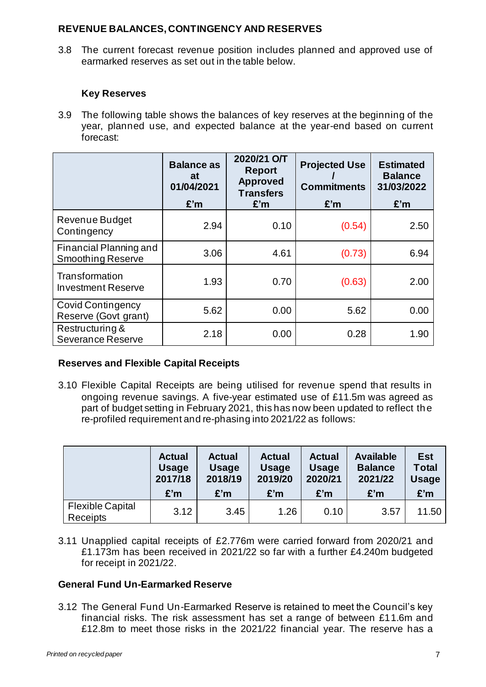#### **REVENUE BALANCES, CONTINGENCY AND RESERVES**

3.8 The current forecast revenue position includes planned and approved use of earmarked reserves as set out in the table below.

# **Key Reserves**

3.9 The following table shows the balances of key reserves at the beginning of the year, planned use, and expected balance at the year-end based on current forecast:

|                                                    | <b>Balance as</b><br>at<br>01/04/2021<br>E'm | 2020/21 O/T<br><b>Report</b><br><b>Approved</b><br><b>Transfers</b><br>E'm | <b>Projected Use</b><br><b>Commitments</b><br>E'm | <b>Estimated</b><br><b>Balance</b><br>31/03/2022<br>E'm |
|----------------------------------------------------|----------------------------------------------|----------------------------------------------------------------------------|---------------------------------------------------|---------------------------------------------------------|
| Revenue Budget<br>Contingency                      | 2.94                                         | 0.10                                                                       | (0.54)                                            | 2.50                                                    |
| Financial Planning and<br><b>Smoothing Reserve</b> | 3.06                                         | 4.61                                                                       | (0.73)                                            | 6.94                                                    |
| Transformation<br><b>Investment Reserve</b>        | 1.93                                         | 0.70                                                                       | (0.63)                                            | 2.00                                                    |
| Covid Contingency<br>Reserve (Govt grant)          | 5.62                                         | 0.00                                                                       | 5.62                                              | 0.00                                                    |
| Restructuring &<br><b>Severance Reserve</b>        | 2.18                                         | 0.00                                                                       | 0.28                                              | 1.90                                                    |

# **Reserves and Flexible Capital Receipts**

3.10 Flexible Capital Receipts are being utilised for revenue spend that results in ongoing revenue savings. A five-year estimated use of £11.5m was agreed as part of budget setting in February 2021, this has now been updated to reflect the re-profiled requirement and re-phasing into 2021/22 as follows:

|                                     | <b>Actual</b> | <b>Actual</b> | <b>Actual</b> | <b>Actual</b> | <b>Available</b> | Est          |
|-------------------------------------|---------------|---------------|---------------|---------------|------------------|--------------|
|                                     | <b>Usage</b>  | <b>Usage</b>  | <b>Usage</b>  | <b>Usage</b>  | <b>Balance</b>   | <b>Total</b> |
|                                     | 2017/18       | 2018/19       | 2019/20       | 2020/21       | 2021/22          | <b>Usage</b> |
|                                     | £'m           | £'m           | £'m           | £'m           | £'m              | £'m          |
| <b>Flexible Capital</b><br>Receipts | 3.12          | 3.45          | 1.26          | 0.10          | 3.57             | 11.50        |

3.11 Unapplied capital receipts of £2.776m were carried forward from 2020/21 and £1.173m has been received in 2021/22 so far with a further £4.240m budgeted for receipt in 2021/22.

# **General Fund Un-Earmarked Reserve**

3.12 The General Fund Un-Earmarked Reserve is retained to meet the Council's key financial risks. The risk assessment has set a range of between £11.6m and £12.8m to meet those risks in the 2021/22 financial year. The reserve has a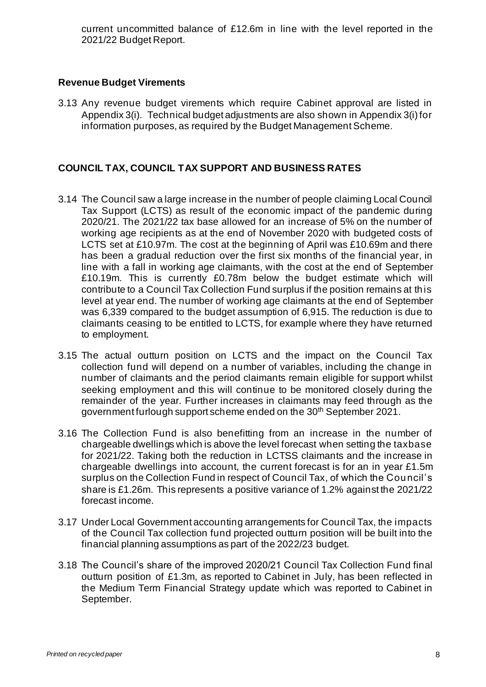current uncommitted balance of £12.6m in line with the level reported in the 2021/22 Budget Report.

### **Revenue Budget Virements**

3.13 Any revenue budget virements which require Cabinet approval are listed in Appendix 3(i). Technical budget adjustments are also shown in Appendix 3(i) for information purposes, as required by the Budget Management Scheme.

# **COUNCIL TAX, COUNCIL TAX SUPPORT AND BUSINESS RATES**

- 3.14 The Council saw a large increase in the number of people claiming Local Council Tax Support (LCTS) as result of the economic impact of the pandemic during 2020/21. The 2021/22 tax base allowed for an increase of 5% on the number of working age recipients as at the end of November 2020 with budgeted costs of LCTS set at £10.97m. The cost at the beginning of April was £10.69m and there has been a gradual reduction over the first six months of the financial year, in line with a fall in working age claimants, with the cost at the end of September £10.19m. This is currently £0.78m below the budget estimate which will contribute to a Council Tax Collection Fund surplus if the position remains at this level at year end. The number of working age claimants at the end of September was 6,339 compared to the budget assumption of 6,915. The reduction is due to claimants ceasing to be entitled to LCTS, for example where they have returned to employment.
- 3.15 The actual outturn position on LCTS and the impact on the Council Tax collection fund will depend on a number of variables, including the change in number of claimants and the period claimants remain eligible for support whilst seeking employment and this will continue to be monitored closely during the remainder of the year. Further increases in claimants may feed through as the government furlough support scheme ended on the 30<sup>th</sup> September 2021.
- 3.16 The Collection Fund is also benefitting from an increase in the number of chargeable dwellings which is above the level forecast when setting the taxbase for 2021/22. Taking both the reduction in LCTSS claimants and the increase in chargeable dwellings into account, the current forecast is for an in year £1.5m surplus on the Collection Fund in respect of Council Tax, of which the Council's share is £1.26m. This represents a positive variance of 1.2% against the 2021/22 forecast income.
- 3.17 Under Local Government accounting arrangements for Council Tax, the impacts of the Council Tax collection fund projected outturn position will be built into the financial planning assumptions as part of the 2022/23 budget.
- 3.18 The Council's share of the improved 2020/21 Council Tax Collection Fund final outturn position of £1.3m, as reported to Cabinet in July, has been reflected in the Medium Term Financial Strategy update which was reported to Cabinet in September.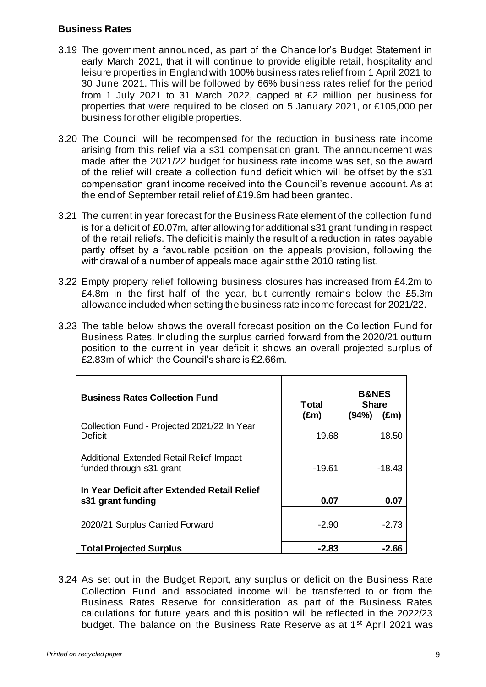#### **Business Rates**

- 3.19 The government announced, as part of the Chancellor's Budget Statement in early March 2021, that it will continue to provide eligible retail, hospitality and leisure properties in England with 100% business rates relief from 1 April 2021 to 30 June 2021. This will be followed by 66% business rates relief for the period from 1 July 2021 to 31 March 2022, capped at £2 million per business for properties that were required to be closed on 5 January 2021, or £105,000 per business for other eligible properties.
- 3.20 The Council will be recompensed for the reduction in business rate income arising from this relief via a s31 compensation grant. The announcement was made after the 2021/22 budget for business rate income was set, so the award of the relief will create a collection fund deficit which will be offset by the s31 compensation grant income received into the Council's revenue account. As at the end of September retail relief of £19.6m had been granted.
- 3.21 The current in year forecast for the Business Rate element of the collection fund is for a deficit of £0.07m, after allowing for additional s31 grant funding in respect of the retail reliefs. The deficit is mainly the result of a reduction in rates payable partly offset by a favourable position on the appeals provision, following the withdrawal of a number of appeals made against the 2010 rating list.
- 3.22 Empty property relief following business closures has increased from £4.2m to £4.8m in the first half of the year, but currently remains below the £5.3m allowance included when setting the business rate income forecast for 2021/22.
- 3.23 The table below shows the overall forecast position on the Collection Fund for Business Rates. Including the surplus carried forward from the 2020/21 outturn position to the current in year deficit it shows an overall projected surplus of £2.83m of which the Council's share is £2.66m.

| <b>Business Rates Collection Fund</b>                                | Total<br>(£m) | <b>B&amp;NES</b><br><b>Share</b><br>(94%)<br>(£m) |
|----------------------------------------------------------------------|---------------|---------------------------------------------------|
| Collection Fund - Projected 2021/22 In Year<br>Deficit               | 19.68         | 18.50                                             |
| Additional Extended Retail Relief Impact<br>funded through s31 grant | $-19.61$      | -18.43                                            |
| In Year Deficit after Extended Retail Relief<br>s31 grant funding    | 0.07          | 0.07                                              |
| 2020/21 Surplus Carried Forward                                      | $-2.90$       | $-2.73$                                           |
| <b>Total Projected Surplus</b>                                       | -2.83         | -2.66                                             |

3.24 As set out in the Budget Report, any surplus or deficit on the Business Rate Collection Fund and associated income will be transferred to or from the Business Rates Reserve for consideration as part of the Business Rates calculations for future years and this position will be reflected in the 2022/23 budget. The balance on the Business Rate Reserve as at 1st April 2021 was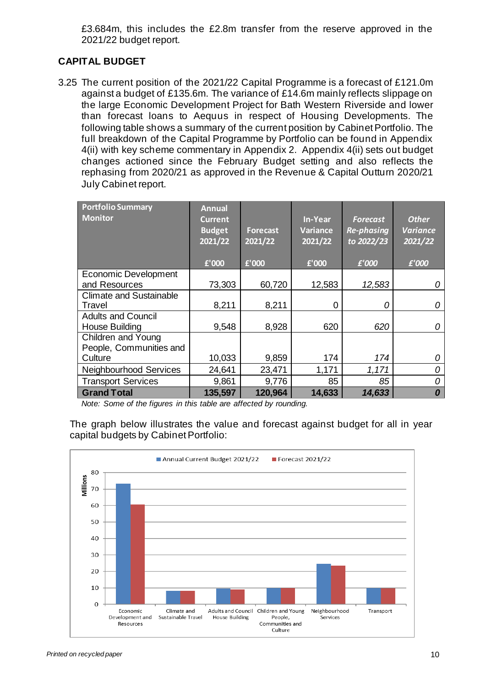£3.684m, this includes the £2.8m transfer from the reserve approved in the 2021/22 budget report.

# **CAPITAL BUDGET**

3.25 The current position of the 2021/22 Capital Programme is a forecast of £121.0m against a budget of £135.6m. The variance of £14.6m mainly reflects slippage on the large Economic Development Project for Bath Western Riverside and lower than forecast loans to Aequus in respect of Housing Developments. The following table shows a summary of the current position by Cabinet Portfolio. The full breakdown of the Capital Programme by Portfolio can be found in Appendix 4(ii) with key scheme commentary in Appendix 2. Appendix 4(ii) sets out budget changes actioned since the February Budget setting and also reflects the rephasing from 2020/21 as approved in the Revenue & Capital Outturn 2020/21 July Cabinet report.

| <b>Portfolio Summary</b><br><b>Monitor</b> | <b>Annual</b><br><b>Current</b><br><b>Budget</b><br>2021/22 | <b>Forecast</b><br>$\frac{2021}{22}$ | <b>In-Year</b><br><b>Variance</b><br>2021/22 | <b>Forecast</b><br><b>Re-phasing</b><br>to 2022/23 | <b>Other</b><br><b>Variance</b><br>2021/22 |
|--------------------------------------------|-------------------------------------------------------------|--------------------------------------|----------------------------------------------|----------------------------------------------------|--------------------------------------------|
|                                            | £'000                                                       | £'000                                | £'000                                        | £'000                                              | £'000                                      |
| <b>Economic Development</b>                |                                                             |                                      |                                              |                                                    |                                            |
| and Resources                              | 73,303                                                      | 60,720                               | 12,583                                       | 12,583                                             | 0                                          |
| <b>Climate and Sustainable</b>             |                                                             |                                      |                                              |                                                    |                                            |
| Travel                                     | 8,211                                                       | 8,211                                | 0                                            | Ω                                                  | 0                                          |
| <b>Adults and Council</b>                  |                                                             |                                      |                                              |                                                    |                                            |
| <b>House Building</b>                      | 9,548                                                       | 8,928                                | 620                                          | 620                                                | 0                                          |
| <b>Children and Young</b>                  |                                                             |                                      |                                              |                                                    |                                            |
| People, Communities and                    |                                                             |                                      |                                              |                                                    |                                            |
| Culture                                    | 10,033                                                      | 9,859                                | 174                                          | 174                                                | 0                                          |
| Neighbourhood Services                     | 24,641                                                      | 23,471                               | 1,171                                        | 1,171                                              | 0                                          |
| <b>Transport Services</b>                  | 9,861                                                       | 9,776                                | 85                                           | 85                                                 | 0                                          |
| <b>Grand Total</b>                         | 135,597                                                     | 120,964                              | 14,633                                       | 14,633                                             | 0                                          |

*Note: Some of the figures in this table are affected by rounding.*

The graph below illustrates the value and forecast against budget for all in year capital budgets by Cabinet Portfolio:

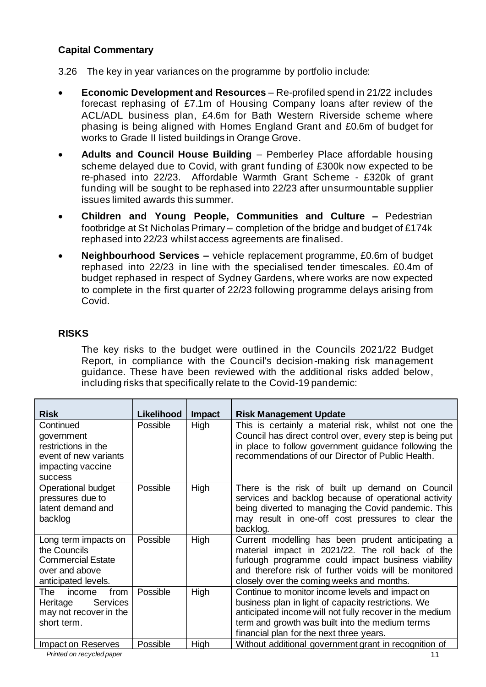# **Capital Commentary**

- 3.26 The key in year variances on the programme by portfolio include:
- **Economic Development and Resources** Re-profiled spend in 21/22 includes forecast rephasing of £7.1m of Housing Company loans after review of the ACL/ADL business plan, £4.6m for Bath Western Riverside scheme where phasing is being aligned with Homes England Grant and £0.6m of budget for works to Grade II listed buildings in Orange Grove.
- **Adults and Council House Building** Pemberley Place affordable housing scheme delayed due to Covid, with grant funding of £300k now expected to be re-phased into 22/23. Affordable Warmth Grant Scheme - £320k of grant funding will be sought to be rephased into 22/23 after unsurmountable supplier issues limited awards this summer.
- **Children and Young People, Communities and Culture –** Pedestrian footbridge at St Nicholas Primary – completion of the bridge and budget of £174k rephased into 22/23 whilst access agreements are finalised.
- **Neighbourhood Services –** vehicle replacement programme, £0.6m of budget rephased into 22/23 in line with the specialised tender timescales. £0.4m of budget rephased in respect of Sydney Gardens, where works are now expected to complete in the first quarter of 22/23 following programme delays arising from Covid.

#### **RISKS**

The key risks to the budget were outlined in the Councils 2021/22 Budget Report, in compliance with the Council's decision-making risk management guidance. These have been reviewed with the additional risks added below, including risks that specifically relate to the Covid-19 pandemic:

| <b>Risk</b>                            | <b>Likelihood</b> | <b>Impact</b> | <b>Risk Management Update</b>                                                                               |
|----------------------------------------|-------------------|---------------|-------------------------------------------------------------------------------------------------------------|
| Continued                              | Possible          | High          | This is certainly a material risk, whilst not one the                                                       |
| government                             |                   |               | Council has direct control over, every step is being put                                                    |
| restrictions in the                    |                   |               | in place to follow government guidance following the<br>recommendations of our Director of Public Health.   |
| event of new variants                  |                   |               |                                                                                                             |
| impacting vaccine                      |                   |               |                                                                                                             |
| <b>SUCCESS</b>                         |                   |               |                                                                                                             |
| Operational budget<br>pressures due to | Possible          | High          | There is the risk of built up demand on Council                                                             |
| latent demand and                      |                   |               | services and backlog because of operational activity<br>being diverted to managing the Covid pandemic. This |
| backlog                                |                   |               | may result in one-off cost pressures to clear the                                                           |
|                                        |                   |               | backlog.                                                                                                    |
| Long term impacts on                   | Possible          | High          | Current modelling has been prudent anticipating a                                                           |
| the Councils                           |                   |               | material impact in 2021/22. The roll back of the                                                            |
| <b>Commercial Estate</b>               |                   |               | furlough programme could impact business viability                                                          |
| over and above                         |                   |               | and therefore risk of further voids will be monitored                                                       |
| anticipated levels.                    |                   |               | closely over the coming weeks and months.                                                                   |
| from<br>income<br>The                  | Possible          | High          | Continue to monitor income levels and impact on                                                             |
| Heritage<br><b>Services</b>            |                   |               | business plan in light of capacity restrictions. We                                                         |
| may not recover in the                 |                   |               | anticipated income will not fully recover in the medium                                                     |
| short term.                            |                   |               | term and growth was built into the medium terms                                                             |
|                                        |                   |               | financial plan for the next three years.                                                                    |
| Impact on Reserves                     | Possible          | High          | Without additional government grant in recognition of                                                       |
| Printed on recycled paper              |                   |               | 11                                                                                                          |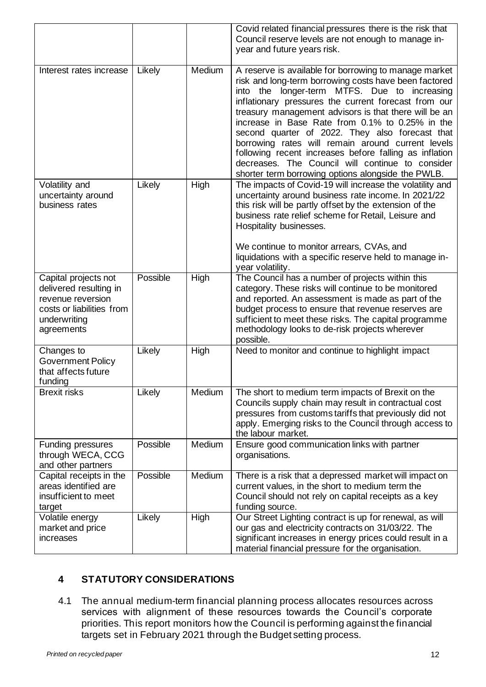|                                                                                                                                |          |        | Covid related financial pressures there is the risk that<br>Council reserve levels are not enough to manage in-<br>year and future years risk.                                                                                                                                                                                                                                                                                                                                                                                                                                                                    |
|--------------------------------------------------------------------------------------------------------------------------------|----------|--------|-------------------------------------------------------------------------------------------------------------------------------------------------------------------------------------------------------------------------------------------------------------------------------------------------------------------------------------------------------------------------------------------------------------------------------------------------------------------------------------------------------------------------------------------------------------------------------------------------------------------|
| Interest rates increase                                                                                                        | Likely   | Medium | A reserve is available for borrowing to manage market<br>risk and long-term borrowing costs have been factored<br>longer-term MTFS. Due to increasing<br>into the<br>inflationary pressures the current forecast from our<br>treasury management advisors is that there will be an<br>increase in Base Rate from 0.1% to 0.25% in the<br>second quarter of 2022. They also forecast that<br>borrowing rates will remain around current levels<br>following recent increases before falling as inflation<br>decreases. The Council will continue to consider<br>shorter term borrowing options alongside the PWLB. |
| Volatility and<br>uncertainty around<br>business rates                                                                         | Likely   | High   | The impacts of Covid-19 will increase the volatility and<br>uncertainty around business rate income. In 2021/22<br>this risk will be partly offset by the extension of the<br>business rate relief scheme for Retail, Leisure and<br>Hospitality businesses.<br>We continue to monitor arrears, CVAs, and<br>liquidations with a specific reserve held to manage in-<br>year volatility.                                                                                                                                                                                                                          |
| Capital projects not<br>delivered resulting in<br>revenue reversion<br>costs or liabilities from<br>underwriting<br>agreements | Possible | High   | The Council has a number of projects within this<br>category. These risks will continue to be monitored<br>and reported. An assessment is made as part of the<br>budget process to ensure that revenue reserves are<br>sufficient to meet these risks. The capital programme<br>methodology looks to de-risk projects wherever<br>possible.                                                                                                                                                                                                                                                                       |
| Changes to<br><b>Government Policy</b><br>that affects future<br>funding                                                       | Likely   | High   | Need to monitor and continue to highlight impact                                                                                                                                                                                                                                                                                                                                                                                                                                                                                                                                                                  |
| <b>Brexit risks</b>                                                                                                            | Likely   | Medium | The short to medium term impacts of Brexit on the<br>Councils supply chain may result in contractual cost<br>pressures from customs tariffs that previously did not<br>apply. Emerging risks to the Council through access to<br>the labour market.                                                                                                                                                                                                                                                                                                                                                               |
| <b>Funding pressures</b><br>through WECA, CCG<br>and other partners                                                            | Possible | Medium | Ensure good communication links with partner<br>organisations.                                                                                                                                                                                                                                                                                                                                                                                                                                                                                                                                                    |
| Capital receipts in the<br>areas identified are<br>insufficient to meet<br>target                                              | Possible | Medium | There is a risk that a depressed market will impact on<br>current values, in the short to medium term the<br>Council should not rely on capital receipts as a key<br>funding source.                                                                                                                                                                                                                                                                                                                                                                                                                              |
| Volatile energy<br>market and price<br>increases                                                                               | Likely   | High   | Our Street Lighting contract is up for renewal, as will<br>our gas and electricity contracts on 31/03/22. The<br>significant increases in energy prices could result in a<br>material financial pressure for the organisation.                                                                                                                                                                                                                                                                                                                                                                                    |

# **4 STATUTORY CONSIDERATIONS**

4.1 The annual medium-term financial planning process allocates resources across services with alignment of these resources towards the Council's corporate priorities. This report monitors how the Council is performing against the financial targets set in February 2021 through the Budget setting process.